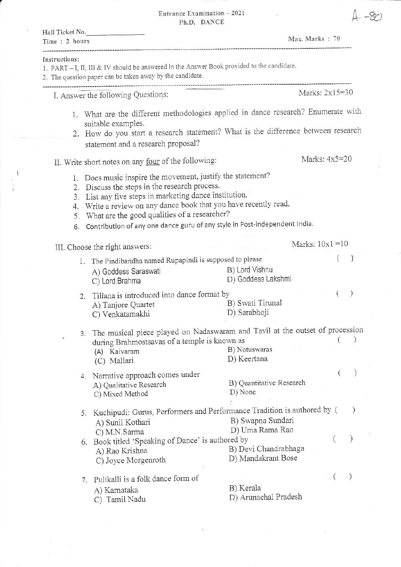Entrance Examination  $-2021$ 

| Ph.D. DANCE                                                                                                                                                                                                                                                                                                                                                                         |                                            |                    |
|-------------------------------------------------------------------------------------------------------------------------------------------------------------------------------------------------------------------------------------------------------------------------------------------------------------------------------------------------------------------------------------|--------------------------------------------|--------------------|
| Hall Ticket No.<br>Time: 2 hours                                                                                                                                                                                                                                                                                                                                                    | Max. Marks: 70                             |                    |
| Instructions:<br>1. PART - I, II, III & IV should be answered in the Answer Book provided to the candidate.<br>2. The question paper can be taken away by the candidate.                                                                                                                                                                                                            |                                            |                    |
| I. Answer the following Questions:                                                                                                                                                                                                                                                                                                                                                  |                                            | Marks: 2x15=30     |
| 1. What are the different methodologies applied in dance research? Enumerate with<br>suitable examples.<br>2. How do you start a research statement? What is the difference between research<br>statement and a research proposal?                                                                                                                                                  |                                            |                    |
| II. Write short notes on any four of the following:                                                                                                                                                                                                                                                                                                                                 |                                            | Marks: $4x5=20$    |
| 1. Does music inspire the movement, justify the statement?<br>2. Discuss the steps in the research process.<br>3. List any five steps in marketing dance institution.<br>4. Write a review on any dance book that you have recently read.<br>What are the good qualities of a researcher?<br>5.<br>Contribution of any one dance guru of any style in Post-independent India.<br>6. |                                            |                    |
| III. Choose the right answers:                                                                                                                                                                                                                                                                                                                                                      |                                            | Marks: $10x1 = 10$ |
| 1. The Pindibandha named Rupapindi is supposed to please<br>A) Goddess Saraswati<br>C) Lord Brahma                                                                                                                                                                                                                                                                                  | B) Lord Vishnu<br>D) Goddess Lakshmi       |                    |
| 2. Tillana is introduced into dance format by<br>A) Tanjore Quartet<br>C) Venkatamakhi                                                                                                                                                                                                                                                                                              | B) Swati Tirunal<br>D) Sarabhoji           | €                  |
| 3. The musical piece played on Nadaswaram and Tavil at the outset of procession                                                                                                                                                                                                                                                                                                     |                                            |                    |
| during Brahmostsavas of a temple is known as<br>(A) Kaivaram<br>(C) Mallari                                                                                                                                                                                                                                                                                                         | B) Notuswaras<br>D) Keertana               |                    |
| 4. Narrative approach comes under<br>A) Qualitative Research<br>C) Mixed Method                                                                                                                                                                                                                                                                                                     | B) Quantitative Research<br>D) None        |                    |
| 5. Kuchipudi: Gurus, Performers and Performance Tradition is authored by (<br>A) Sunil Kothari<br>C) M.N.Sarma                                                                                                                                                                                                                                                                      | B) Swapna Sundari<br>D) Uma Rama Rao       | $\lambda$          |
| 6. Book titled 'Speaking of Dance' is authored by<br>A) Rao Krishna<br>C) Joyce Morgenroth                                                                                                                                                                                                                                                                                          | B) Devi Chandrabhaga<br>D) Mandakrant Bose | $\lambda$          |
| Pulikalli is a folk dance form of<br>7.<br>A) Karnataka<br>C) Tamil Nadu                                                                                                                                                                                                                                                                                                            | B) Kerala<br>D) Arunachal Pradesh          | $\mathcal{Y}$      |

 $\bar{\mathbf{x}}$ 

 $\frac{1}{2}$ 

 $4 - 80$